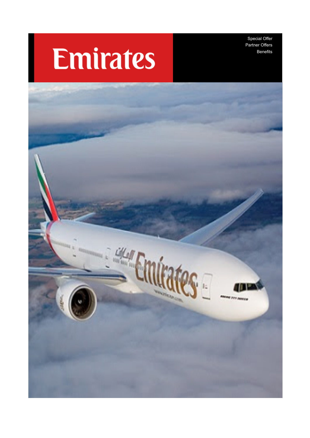Special Offer Partner Offers Benefits

# **Emirates**

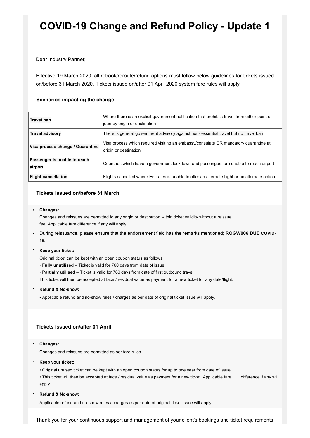## **COVID-19 Change and Refund Policy - Update 1**

Dear Industry Partner,

Effective 19 March 2020, all rebook/reroute/refund options must follow below guidelines for tickets issued on/before 31 March 2020. Tickets issued on/after 01 April 2020 system fare rules will apply.

### **Scenarios impacting the change:**

| <b>Travel ban</b>                       | Where there is an explicit government notification that prohibits travel from either point of<br>journey origin or destination |
|-----------------------------------------|--------------------------------------------------------------------------------------------------------------------------------|
| Travel advisory                         | There is general government advisory against non-essential travel but no travel ban                                            |
| Visa process change / Quarantine        | Visa process which required visiting an embassy/consulate OR mandatory quarantine at<br>origin or destination                  |
| Passenger is unable to reach<br>airport | Countries which have a government lockdown and passengers are unable to reach airport                                          |
| <b>Flight cancellation</b>              | Flights cancelled where Emirates is unable to offer an alternate flight or an alternate option                                 |

#### **Tickets issued on/before 31 March**

• **Changes:**

Changes and reissues are permitted to any origin or destination within ticket validity without a reissue fee. Applicable fare difference if any will apply

- During reissuance, please ensure that the endorsement field has the remarks mentioned; **ROGW006 DUE COVID-19.**
- **Keep your ticket:**

Original ticket can be kept with an open coupon status as follows.

- **Fully unutilised** Ticket is valid for 760 days from date of issue
- **Partially utilised** Ticket is valid for 760 days from date of first outbound travel

This ticket will then be accepted at face / residual value as payment for a new ticket for any date/flight.

- **Refund & No-show:**
	- Applicable refund and no-show rules / charges as per date of original ticket issue will apply.

#### **Tickets issued on/after 01 April:**

• **Changes:**

Changes and reissues are permitted as per fare rules.

- **Keep your ticket:**
	- Original unused ticket can be kept with an open coupon status for up to one year from date of issue.
	- This ticket will then be accepted at face / residual value as payment for a new ticket. Applicable fare difference if any will apply.

#### • **Refund & No-show:**

Applicable refund and no-show rules / charges as per date of original ticket issue will apply.

Thank you for your continuous support and management of your client's bookings and ticket requirements